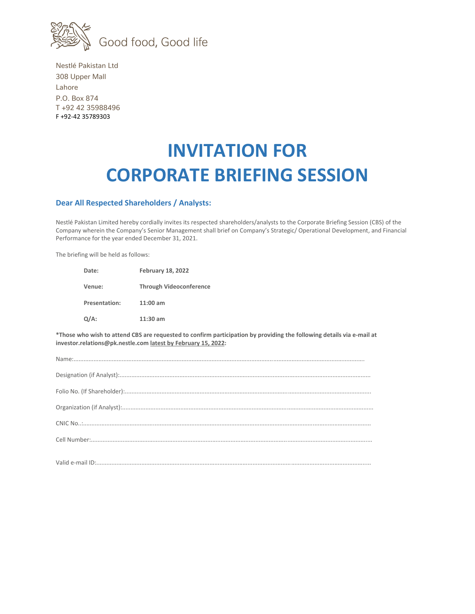

Nestlé Pakistan Ltd 308 Upper Mall Lahore P.O. Box 874 T +92 42 35988496 F +92-42 35789303

## **INVITATION FOR CORPORATE BRIEFING SESSION**

## **Dear All Respected Shareholders / Analysts:**

Nestlé Pakistan Limited hereby cordially invites its respected shareholders/analysts to the Corporate Briefing Session (CBS) of the Company wherein the Company's Senior Management shall brief on Company's Strategic/ Operational Development, and Financial Performance for the year ended December 31, 2021.

The briefing will be held as follows:

| Date:                | <b>February 18, 2022</b>       |
|----------------------|--------------------------------|
| Venue:               | <b>Through Videoconference</b> |
| <b>Presentation:</b> | $11:00$ am                     |
| $Q/A$ :              | $11:30$ am                     |

**\*Those who wish to attend CBS are requested to confirm participation by providing the following details via e-mail at investor.relations@pk.nestle.com latest by February 15, 2022:**